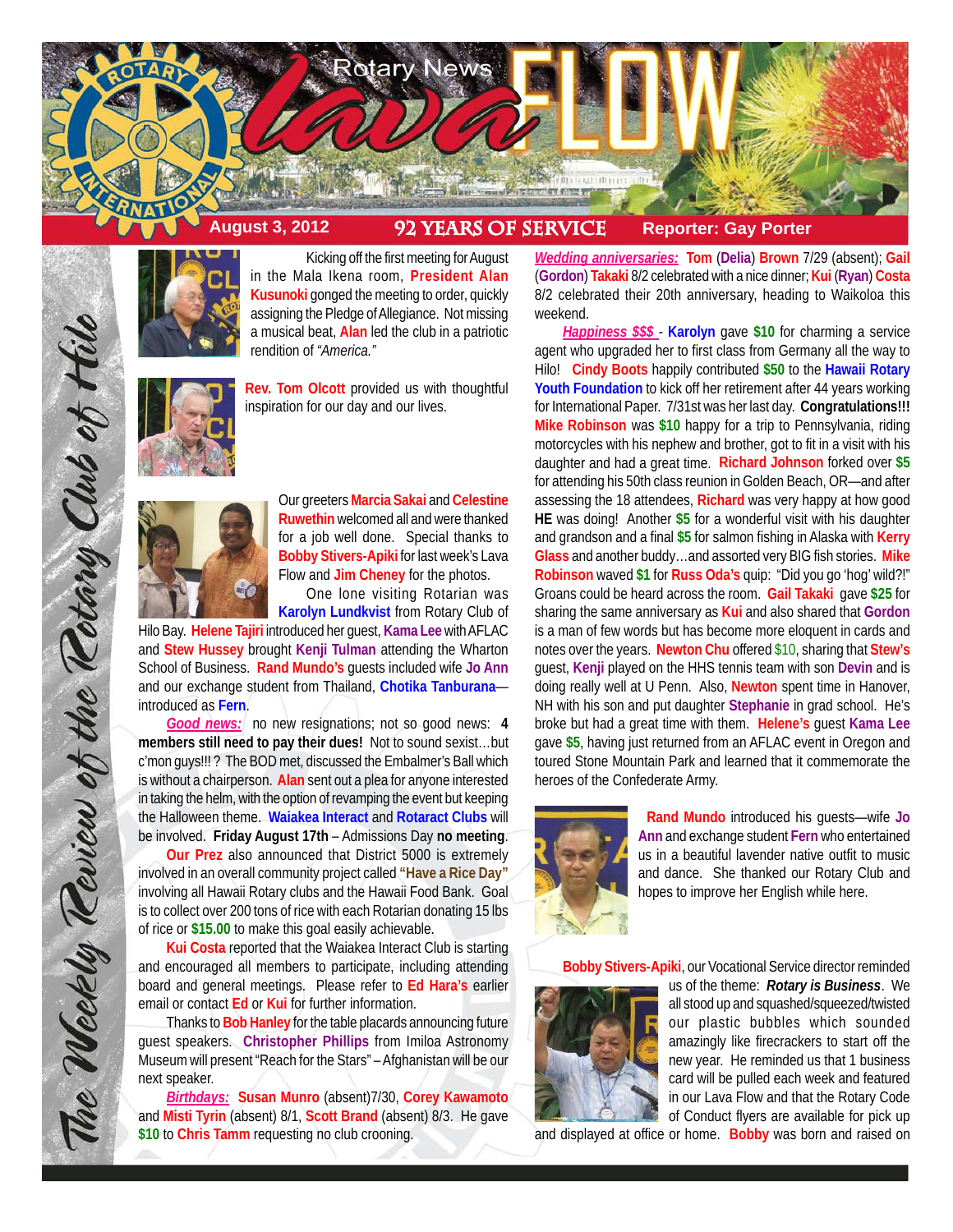



Kicking off the first meeting for August in the Mala Ikena room, **President Alan Kusunoki** gonged the meeting to order, quickly assigning the Pledge of Allegiance. Not missing a musical beat, **Alan** led the club in a patriotic rendition of *"America."*



**Rev. Tom Olcott** provided us with thoughtful inspiration for our day and our lives.



The Weekly Teview of the Tetary Club of Hilo

Our greeters **Marcia Sakai** and **Celestine Ruwethin** welcomed all and were thanked for a job well done. Special thanks to **Bobby Stivers-Apiki** for last week's Lava Flow and **Jim Cheney** for the photos.

One lone visiting Rotarian was **Karolyn Lundkvist** from Rotary Club of

Hilo Bay. **Helene Tajiri** introduced her guest, **Kama Lee** with AFLAC and **Stew Hussey** brought **Kenji Tulman** attending the Wharton School of Business. **Rand Mundo's** guests included wife **Jo Ann** and our exchange student from Thailand, **Chotika Tanburana** introduced as **Fern**.

*Good news:* no new resignations; not so good news: **4 members still need to pay their dues!** Not to sound sexist…but c'mon guys!!! ? The BOD met, discussed the Embalmer's Ball which is without a chairperson. **Alan** sent out a plea for anyone interested in taking the helm, with the option of revamping the event but keeping the Halloween theme. **Waiakea Interact** and **Rotaract Clubs** will be involved. **Friday August 17th** – Admissions Day **no meeting**.

**Our Prez** also announced that District 5000 is extremely involved in an overall community project called **"Have a Rice Day"** involving all Hawaii Rotary clubs and the Hawaii Food Bank. Goal is to collect over 200 tons of rice with each Rotarian donating 15 lbs of rice or **\$15.00** to make this goal easily achievable.

**Kui Costa** reported that the Waiakea Interact Club is starting and encouraged all members to participate, including attending board and general meetings. Please refer to **Ed Hara's** earlier email or contact **Ed** or **Kui** for further information.

Thanks to **Bob Hanley** for the table placards announcing future guest speakers. **Christopher Phillips** from Imiloa Astronomy Museum will present "Reach for the Stars" – Afghanistan will be our next speaker.

*Birthdays:* **Susan Munro** (absent)7/30, **Corey Kawamoto** and **Misti Tyrin** (absent) 8/1, **Scott Brand** (absent) 8/3. He gave **\$10** to **Chris Tamm** requesting no club crooning.

*Wedding anniversaries:* **Tom** (**Delia**) **Brown** 7/29 (absent); **Gail** (**Gordon**) **Takaki** 8/2 celebrated with a nice dinner; **Kui** (**Ryan**) **Costa** 8/2 celebrated their 20th anniversary, heading to Waikoloa this weekend.

*Happiness \$\$\$* - **Karolyn** gave **\$10** for charming a service agent who upgraded her to first class from Germany all the way to Hilo! **Cindy Boots** happily contributed **\$50** to the **Hawaii Rotary Youth Foundation** to kick off her retirement after 44 years working for International Paper. 7/31st was her last day. **Congratulations!!! Mike Robinson** was **\$10** happy for a trip to Pennsylvania, riding motorcycles with his nephew and brother, got to fit in a visit with his daughter and had a great time. **Richard Johnson** forked over **\$5** for attending his 50th class reunion in Golden Beach, OR—and after assessing the 18 attendees, **Richard** was very happy at how good **HE** was doing! Another **\$5** for a wonderful visit with his daughter and grandson and a final **\$5** for salmon fishing in Alaska with **Kerry Glass** and another buddy…and assorted very BIG fish stories. **Mike Robinson** waved **\$1** for **Russ Oda's** quip: "Did you go 'hog' wild?!" Groans could be heard across the room. **Gail Takaki** gave **\$25** for sharing the same anniversary as **Kui** and also shared that **Gordon** is a man of few words but has become more eloquent in cards and notes over the years. **Newton Chu** offered \$10, sharing that **Stew's** guest, **Kenji** played on the HHS tennis team with son **Devin** and is doing really well at U Penn. Also, **Newton** spent time in Hanover, NH with his son and put daughter **Stephanie** in grad school. He's broke but had a great time with them. **Helene's** guest **Kama Lee** gave **\$5**, having just returned from an AFLAC event in Oregon and toured Stone Mountain Park and learned that it commemorate the heroes of the Confederate Army.



**Rand Mundo** introduced his guests—wife **Jo Ann** and exchange student **Fern** who entertained us in a beautiful lavender native outfit to music and dance. She thanked our Rotary Club and hopes to improve her English while here.

**Bobby Stivers-Apiki**, our Vocational Service director reminded



us of the theme: *Rotary is Business*. We all stood up and squashed/squeezed/twisted our plastic bubbles which sounded amazingly like firecrackers to start off the new year. He reminded us that 1 business card will be pulled each week and featured in our Lava Flow and that the Rotary Code of Conduct flyers are available for pick up

and displayed at office or home. **Bobby** was born and raised on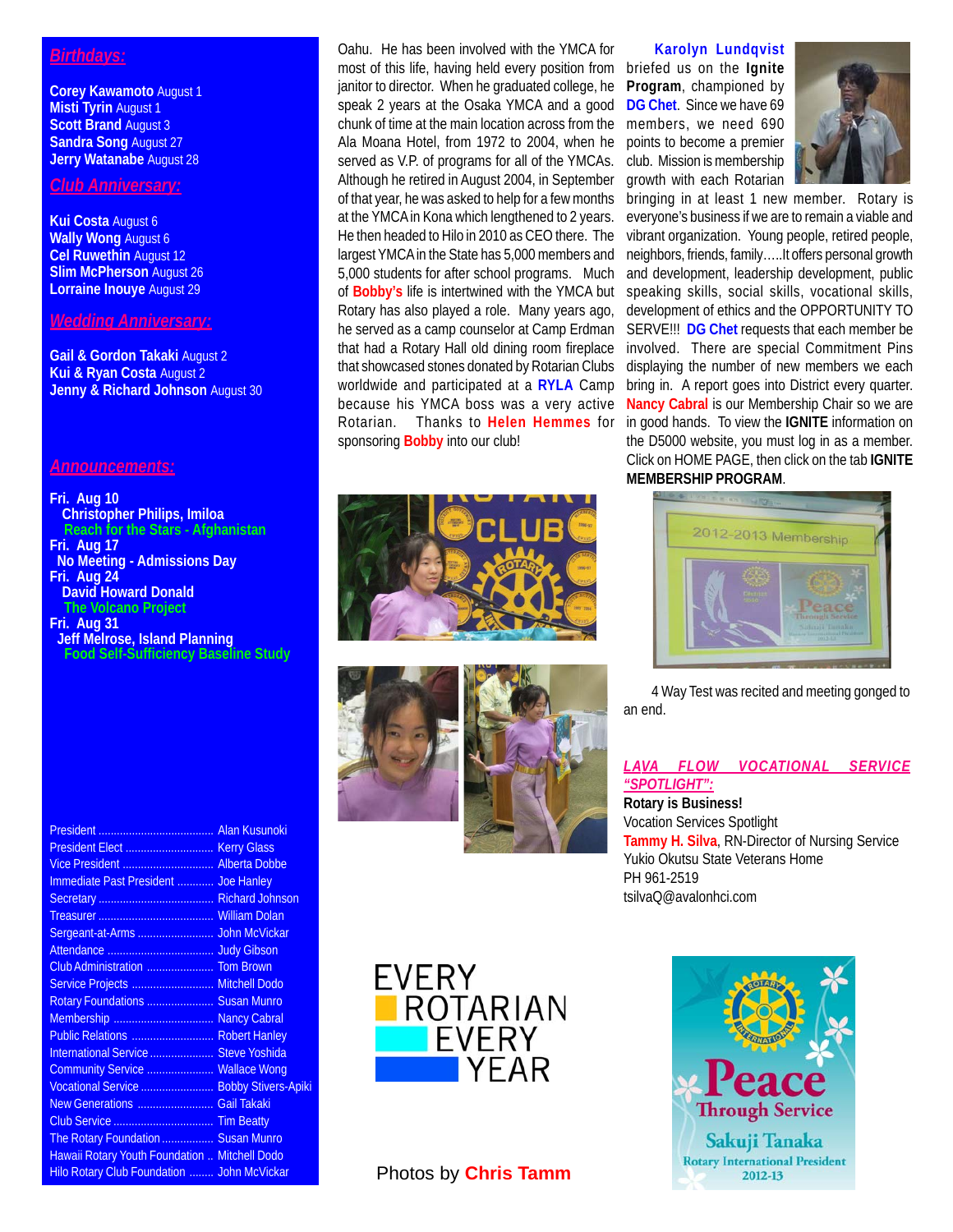# *Birthdays:*

**Corey Kawamoto** August 1 **Misti Tyrin** August 1 **Scott Brand** August 3 **Sandra Song** August 27 **Jerry Watanabe** August 28

## *Club Anniversary:*

**Kui Costa** August 6 **Wally Wong** August 6 **Cel Ruwethin** August 12 **Slim McPherson** August 26 **Lorraine Inouye** August 29

#### *Wedding Anniversary:*

**Gail & Gordon Takaki** August 2 **Kui & Ryan Costa** August 2 **Jenny & Richard Johnson** August 30

### *Announcements:*

**Fri. Aug 10 Christopher Philips, Imiloa Reach for the Stars - Afghanistan Fri. Aug 17 No Meeting - Admissions Day Fri. Aug 24 David Howard Donald The Volcano Project Fri. Aug 31**

 **Jeff Melrose, Island Planning Food Self-Sufficiency Baseline Study**

| Vice President  Alberta Dobbe                 |  |
|-----------------------------------------------|--|
| Immediate Past President  Joe Hanley          |  |
|                                               |  |
|                                               |  |
|                                               |  |
|                                               |  |
|                                               |  |
| Service Projects  Mitchell Dodo               |  |
| Rotary Foundations  Susan Munro               |  |
| Membership  Nancy Cabral                      |  |
| Public Relations  Robert Hanley               |  |
| International Service  Steve Yoshida          |  |
| Community Service  Wallace Wong               |  |
| Vocational Service  Bobby Stivers-Apiki       |  |
| New Generations  Gail Takaki                  |  |
|                                               |  |
| The Rotary Foundation  Susan Munro            |  |
| Hawaii Rotary Youth Foundation  Mitchell Dodo |  |
| Hilo Rotary Club Foundation  John McVickar    |  |

Oahu. He has been involved with the YMCA for most of this life, having held every position from briefed us on the **Ignite** janitor to director. When he graduated college, he speak 2 years at the Osaka YMCA and a good chunk of time at the main location across from the Ala Moana Hotel, from 1972 to 2004, when he served as V.P. of programs for all of the YMCAs. Although he retired in August 2004, in September of that year, he was asked to help for a few months at the YMCA in Kona which lengthened to 2 years. He then headed to Hilo in 2010 as CEO there. The largest YMCA in the State has 5,000 members and 5,000 students for after school programs. Much of **Bobby's** life is intertwined with the YMCA but Rotary has also played a role. Many years ago, he served as a camp counselor at Camp Erdman that had a Rotary Hall old dining room fireplace that showcased stones donated by Rotarian Clubs worldwide and participated at a **RYLA** Camp because his YMCA boss was a very active Rotarian. Thanks to **Helen Hemmes** for sponsoring **Bobby** into our club!







# Photos by **Chris Tamm**

#### **Karolyn Lundqvist**

**Program**, championed by **DG Chet**. Since we have 69 members, we need 690 points to become a premier club. Mission is membership growth with each Rotarian



bringing in at least 1 new member. Rotary is everyone's business if we are to remain a viable and vibrant organization. Young people, retired people, neighbors, friends, family…..It offers personal growth and development, leadership development, public speaking skills, social skills, vocational skills, development of ethics and the OPPORTUNITY TO SERVE!!! **DG Chet** requests that each member be involved. There are special Commitment Pins displaying the number of new members we each bring in. A report goes into District every quarter. **Nancy Cabral** is our Membership Chair so we are in good hands. To view the **IGNITE** information on the D5000 website, you must log in as a member. Click on HOME PAGE, then click on the tab **IGNITE MEMBERSHIP PROGRAM**.



4 Way Test was recited and meeting gonged to an end.

#### *LAVA FLOW VOCATIONAL SERVICE "SPOTLIGHT":*

**Rotary is Business!** Vocation Services Spotlight **Tammy H. Silva**, RN-Director of Nursing Service Yukio Okutsu State Veterans Home PH 961-2519 tsilvaQ@avalonhci.com